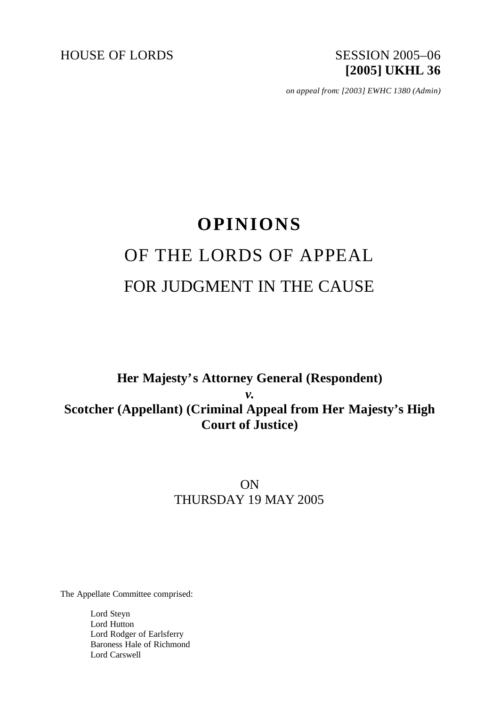HOUSE OF LORDS SESSION 2005-06

# **[2005] UKHL 36**

*on appeal from: [2003] EWHC 1380 (Admin)*

## **OPINIONS** OF THE LORDS OF APPEAL FOR JUDGMENT IN THE CAUSE

## **Her Majesty's Attorney General (Respondent)** *v.* **Scotcher (Appellant) (Criminal Appeal from Her Majesty's High Court of Justice)**

### ON THURSDAY 19 MAY 2005

The Appellate Committee comprised:

Lord Steyn Lord Hutton Lord Rodger of Earlsferry Baroness Hale of Richmond Lord Carswell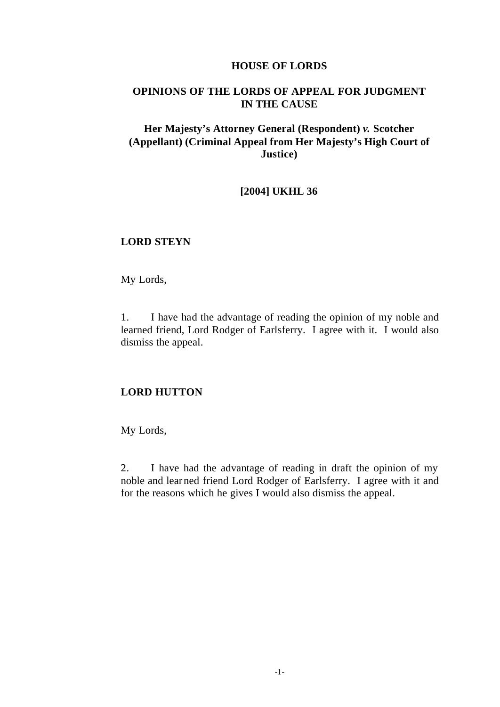#### **HOUSE OF LORDS**

#### **OPINIONS OF THE LORDS OF APPEAL FOR JUDGMENT IN THE CAUSE**

#### **Her Majesty's Attorney General (Respondent)** *v.* **Scotcher (Appellant) (Criminal Appeal from Her Majesty's High Court of Justice)**

#### **[2004] UKHL 36**

#### **LORD STEYN**

My Lords,

1. I have had the advantage of reading the opinion of my noble and learned friend, Lord Rodger of Earlsferry. I agree with it. I would also dismiss the appeal.

#### **LORD HUTTON**

My Lords,

2. I have had the advantage of reading in draft the opinion of my noble and learned friend Lord Rodger of Earlsferry. I agree with it and for the reasons which he gives I would also dismiss the appeal.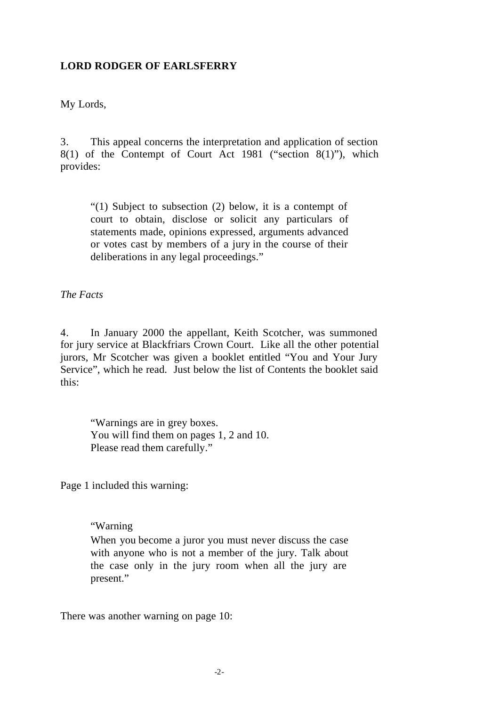#### **LORD RODGER OF EARLSFERRY**

My Lords,

3. This appeal concerns the interpretation and application of section 8(1) of the Contempt of Court Act 1981 ("section 8(1)"), which provides:

"(1) Subject to subsection (2) below, it is a contempt of court to obtain, disclose or solicit any particulars of statements made, opinions expressed, arguments advanced or votes cast by members of a jury in the course of their deliberations in any legal proceedings."

*The Facts*

4. In January 2000 the appellant, Keith Scotcher, was summoned for jury service at Blackfriars Crown Court. Like all the other potential jurors, Mr Scotcher was given a booklet entitled "You and Your Jury Service", which he read. Just below the list of Contents the booklet said this:

"Warnings are in grey boxes. You will find them on pages 1, 2 and 10. Please read them carefully."

Page 1 included this warning:

#### "Warning

When you become a juror you must never discuss the case with anyone who is not a member of the jury. Talk about the case only in the jury room when all the jury are present."

There was another warning on page 10: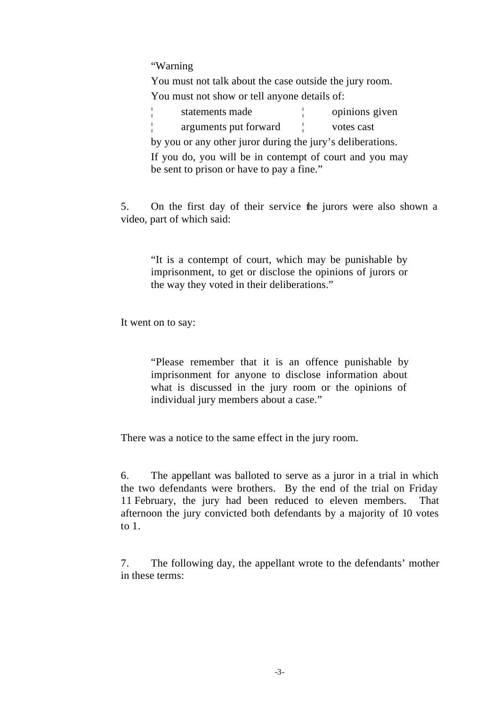"Warning

You must not talk about the case outside the jury room. You must not show or tell anyone details of:

¦ statements made ¦ opinions given

¦ arguments put forward ¦ votes cast

by you or any other juror during the jury's deliberations. If you do, you will be in contempt of court and you may

be sent to prison or have to pay a fine."

5. On the first day of their service the jurors were also shown a video, part of which said:

"It is a contempt of court, which may be punishable by imprisonment, to get or disclose the opinions of jurors or the way they voted in their deliberations."

It went on to say:

"Please remember that it is an offence punishable by imprisonment for anyone to disclose information about what is discussed in the jury room or the opinions of individual jury members about a case."

There was a notice to the same effect in the jury room.

6. The appellant was balloted to serve as a juror in a trial in which the two defendants were brothers. By the end of the trial on Friday 11 February, the jury had been reduced to eleven members. That afternoon the jury convicted both defendants by a majority of 10 votes to 1.

7. The following day, the appellant wrote to the defendants' mother in these terms: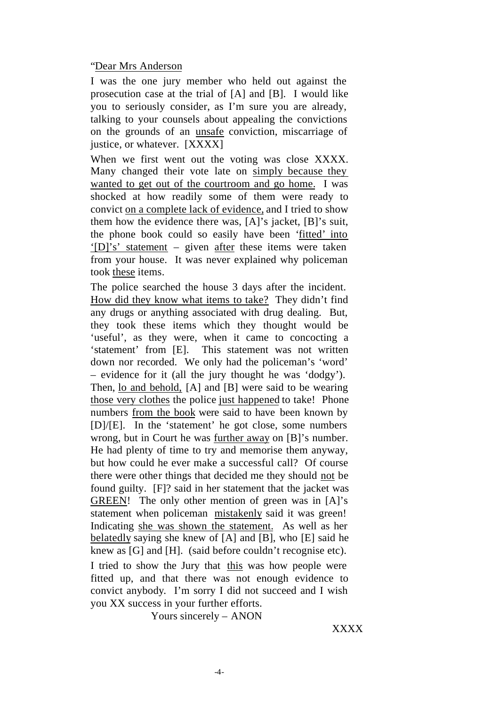#### "Dear Mrs Anderson

I was the one jury member who held out against the prosecution case at the trial of [A] and [B]. I would like you to seriously consider, as I'm sure you are already, talking to your counsels about appealing the convictions on the grounds of an unsafe conviction, miscarriage of justice, or whatever. [XXXX]

When we first went out the voting was close XXXX. Many changed their vote late on simply because they wanted to get out of the courtroom and go home. I was shocked at how readily some of them were ready to convict on a complete lack of evidence, and I tried to show them how the evidence there was, [A]'s jacket, [B]'s suit, the phone book could so easily have been 'fitted' into '[D]'s' statement – given after these items were taken from your house. It was never explained why policeman took these items.

The police searched the house 3 days after the incident. How did they know what items to take? They didn't find any drugs or anything associated with drug dealing. But, they took these items which they thought would be 'useful', as they were, when it came to concocting a 'statement' from [E]. This statement was not written down nor recorded. We only had the policeman's 'word' – evidence for it (all the jury thought he was 'dodgy'). Then, lo and behold, [A] and [B] were said to be wearing those very clothes the police just happened to take! Phone numbers from the book were said to have been known by [D]/[E]. In the 'statement' he got close, some numbers wrong, but in Court he was further away on [B]'s number. He had plenty of time to try and memorise them anyway, but how could he ever make a successful call? Of course there were other things that decided me they should not be found guilty. [F]? said in her statement that the jacket was GREEN! The only other mention of green was in [A]'s statement when policeman mistakenly said it was green! Indicating she was shown the statement. As well as her belatedly saying she knew of [A] and [B], who [E] said he knew as [G] and [H]. (said before couldn't recognise etc). I tried to show the Jury that this was how people were fitted up, and that there was not enough evidence to convict anybody. I'm sorry I did not succeed and I wish you XX success in your further efforts.

Yours sincerely – ANON

XXXX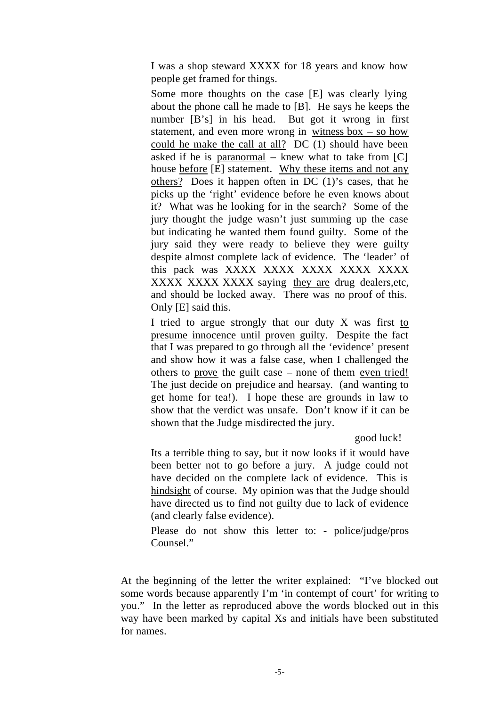I was a shop steward XXXX for 18 years and know how people get framed for things.

Some more thoughts on the case [E] was clearly lying about the phone call he made to [B]. He says he keeps the number [B's] in his head. But got it wrong in first statement, and even more wrong in witness  $box - so how$ could he make the call at all? DC (1) should have been asked if he is paranormal – knew what to take from  $|C|$ house before [E] statement. Why these items and not any others? Does it happen often in DC (1)'s cases, that he picks up the 'right' evidence before he even knows about it? What was he looking for in the search? Some of the jury thought the judge wasn't just summing up the case but indicating he wanted them found guilty. Some of the jury said they were ready to believe they were guilty despite almost complete lack of evidence. The 'leader' of this pack was XXXX XXXX XXXX XXXX XXXX XXXX XXXX XXXX saying they are drug dealers, etc. and should be locked away. There was no proof of this. Only [E] said this.

I tried to argue strongly that our duty X was first to presume innocence until proven guilty. Despite the fact that I was prepared to go through all the 'evidence' present and show how it was a false case, when I challenged the others to prove the guilt case – none of them even tried! The just decide on prejudice and hearsay. (and wanting to get home for tea!). I hope these are grounds in law to show that the verdict was unsafe. Don't know if it can be shown that the Judge misdirected the jury.

good luck!

Its a terrible thing to say, but it now looks if it would have been better not to go before a jury. A judge could not have decided on the complete lack of evidence. This is hindsight of course. My opinion was that the Judge should have directed us to find not guilty due to lack of evidence (and clearly false evidence).

Please do not show this letter to: - police/judge/pros Counsel."

At the beginning of the letter the writer explained: "I've blocked out some words because apparently I'm 'in contempt of court' for writing to you." In the letter as reproduced above the words blocked out in this way have been marked by capital Xs and initials have been substituted for names.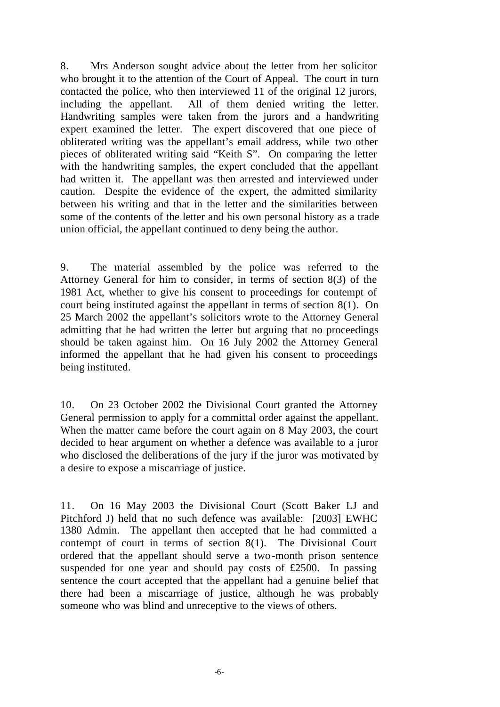8. Mrs Anderson sought advice about the letter from her solicitor who brought it to the attention of the Court of Appeal. The court in turn contacted the police, who then interviewed 11 of the original 12 jurors, including the appellant. All of them denied writing the letter. Handwriting samples were taken from the jurors and a handwriting expert examined the letter. The expert discovered that one piece of obliterated writing was the appellant's email address, while two other pieces of obliterated writing said "Keith S". On comparing the letter with the handwriting samples, the expert concluded that the appellant had written it. The appellant was then arrested and interviewed under caution. Despite the evidence of the expert, the admitted similarity between his writing and that in the letter and the similarities between some of the contents of the letter and his own personal history as a trade union official, the appellant continued to deny being the author.

9. The material assembled by the police was referred to the Attorney General for him to consider, in terms of section 8(3) of the 1981 Act, whether to give his consent to proceedings for contempt of court being instituted against the appellant in terms of section 8(1). On 25 March 2002 the appellant's solicitors wrote to the Attorney General admitting that he had written the letter but arguing that no proceedings should be taken against him. On 16 July 2002 the Attorney General informed the appellant that he had given his consent to proceedings being instituted.

10. On 23 October 2002 the Divisional Court granted the Attorney General permission to apply for a committal order against the appellant. When the matter came before the court again on 8 May 2003, the court decided to hear argument on whether a defence was available to a juror who disclosed the deliberations of the jury if the juror was motivated by a desire to expose a miscarriage of justice.

11. On 16 May 2003 the Divisional Court (Scott Baker LJ and Pitchford J) held that no such defence was available: [2003] EWHC 1380 Admin. The appellant then accepted that he had committed a contempt of court in terms of section 8(1). The Divisional Court ordered that the appellant should serve a two-month prison sentence suspended for one year and should pay costs of £2500. In passing sentence the court accepted that the appellant had a genuine belief that there had been a miscarriage of justice, although he was probably someone who was blind and unreceptive to the views of others.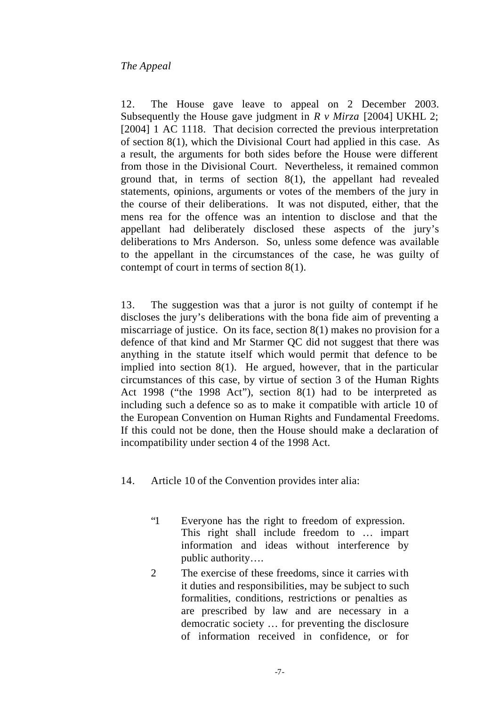#### *The Appeal*

12. The House gave leave to appeal on 2 December 2003. Subsequently the House gave judgment in *R v Mirza* [2004] UKHL 2; [2004] 1 AC 1118. That decision corrected the previous interpretation of section 8(1), which the Divisional Court had applied in this case. As a result, the arguments for both sides before the House were different from those in the Divisional Court. Nevertheless, it remained common ground that, in terms of section 8(1), the appellant had revealed statements, opinions, arguments or votes of the members of the jury in the course of their deliberations. It was not disputed, either, that the mens rea for the offence was an intention to disclose and that the appellant had deliberately disclosed these aspects of the jury's deliberations to Mrs Anderson. So, unless some defence was available to the appellant in the circumstances of the case, he was guilty of contempt of court in terms of section 8(1).

13. The suggestion was that a juror is not guilty of contempt if he discloses the jury's deliberations with the bona fide aim of preventing a miscarriage of justice. On its face, section 8(1) makes no provision for a defence of that kind and Mr Starmer QC did not suggest that there was anything in the statute itself which would permit that defence to be implied into section 8(1). He argued, however, that in the particular circumstances of this case, by virtue of section 3 of the Human Rights Act 1998 ("the 1998 Act"), section 8(1) had to be interpreted as including such a defence so as to make it compatible with article 10 of the European Convention on Human Rights and Fundamental Freedoms. If this could not be done, then the House should make a declaration of incompatibility under section 4 of the 1998 Act.

- 14. Article 10 of the Convention provides inter alia:
	- "1 Everyone has the right to freedom of expression. This right shall include freedom to … impart information and ideas without interference by public authority….
	- 2 The exercise of these freedoms, since it carries with it duties and responsibilities, may be subject to such formalities, conditions, restrictions or penalties as are prescribed by law and are necessary in a democratic society … for preventing the disclosure of information received in confidence, or for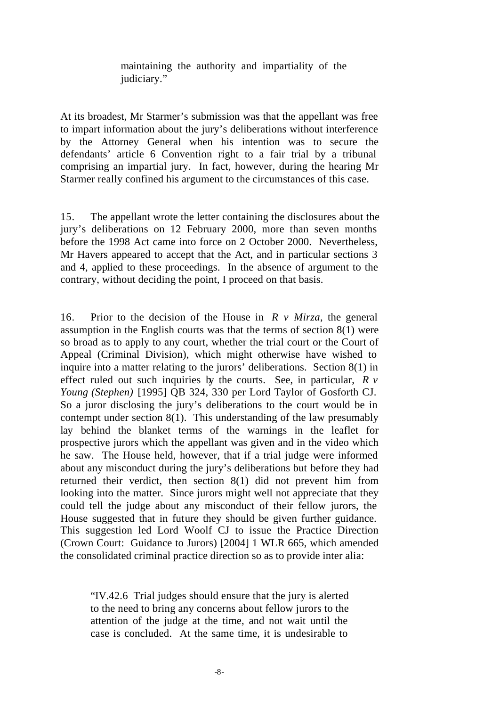maintaining the authority and impartiality of the judiciary."

At its broadest, Mr Starmer's submission was that the appellant was free to impart information about the jury's deliberations without interference by the Attorney General when his intention was to secure the defendants' article 6 Convention right to a fair trial by a tribunal comprising an impartial jury. In fact, however, during the hearing Mr Starmer really confined his argument to the circumstances of this case.

15. The appellant wrote the letter containing the disclosures about the jury's deliberations on 12 February 2000, more than seven months before the 1998 Act came into force on 2 October 2000. Nevertheless, Mr Havers appeared to accept that the Act, and in particular sections 3 and 4, applied to these proceedings. In the absence of argument to the contrary, without deciding the point, I proceed on that basis.

16. Prior to the decision of the House in *R v Mirza*, the general assumption in the English courts was that the terms of section 8(1) were so broad as to apply to any court, whether the trial court or the Court of Appeal (Criminal Division), which might otherwise have wished to inquire into a matter relating to the jurors' deliberations. Section 8(1) in effect ruled out such inquiries by the courts. See, in particular, *R v Young (Stephen)* [1995] QB 324, 330 per Lord Taylor of Gosforth CJ. So a juror disclosing the jury's deliberations to the court would be in contempt under section 8(1). This understanding of the law presumably lay behind the blanket terms of the warnings in the leaflet for prospective jurors which the appellant was given and in the video which he saw. The House held, however, that if a trial judge were informed about any misconduct during the jury's deliberations but before they had returned their verdict, then section 8(1) did not prevent him from looking into the matter. Since jurors might well not appreciate that they could tell the judge about any misconduct of their fellow jurors, the House suggested that in future they should be given further guidance. This suggestion led Lord Woolf CJ to issue the Practice Direction (Crown Court: Guidance to Jurors) [2004] 1 WLR 665, which amended the consolidated criminal practice direction so as to provide inter alia:

"IV.42.6 Trial judges should ensure that the jury is alerted to the need to bring any concerns about fellow jurors to the attention of the judge at the time, and not wait until the case is concluded. At the same time, it is undesirable to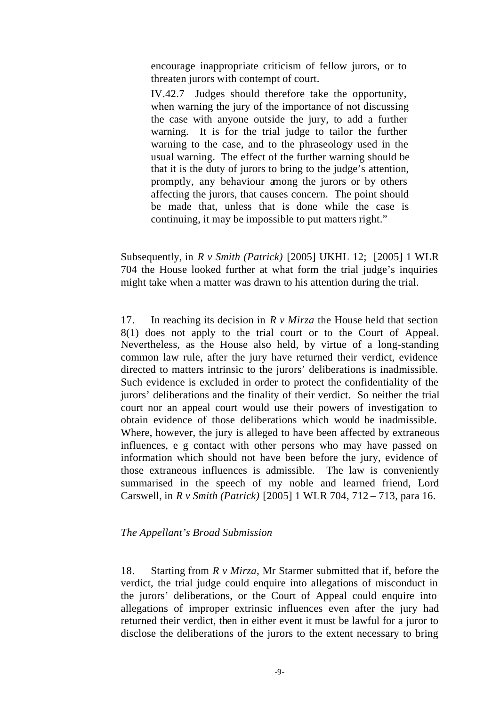encourage inappropriate criticism of fellow jurors, or to threaten jurors with contempt of court.

IV.42.7 Judges should therefore take the opportunity, when warning the jury of the importance of not discussing the case with anyone outside the jury, to add a further warning. It is for the trial judge to tailor the further warning to the case, and to the phraseology used in the usual warning. The effect of the further warning should be that it is the duty of jurors to bring to the judge's attention, promptly, any behaviour among the jurors or by others affecting the jurors, that causes concern. The point should be made that, unless that is done while the case is continuing, it may be impossible to put matters right."

Subsequently, in *R v Smith (Patrick)* [2005] UKHL 12; [2005] 1 WLR 704 the House looked further at what form the trial judge's inquiries might take when a matter was drawn to his attention during the trial.

17. In reaching its decision in *R v Mirza* the House held that section 8(1) does not apply to the trial court or to the Court of Appeal. Nevertheless, as the House also held, by virtue of a long-standing common law rule, after the jury have returned their verdict, evidence directed to matters intrinsic to the jurors' deliberations is inadmissible. Such evidence is excluded in order to protect the confidentiality of the jurors' deliberations and the finality of their verdict. So neither the trial court nor an appeal court would use their powers of investigation to obtain evidence of those deliberations which would be inadmissible. Where, however, the jury is alleged to have been affected by extraneous influences, e g contact with other persons who may have passed on information which should not have been before the jury, evidence of those extraneous influences is admissible. The law is conveniently summarised in the speech of my noble and learned friend, Lord Carswell, in *R v Smith (Patrick)* [2005] 1 WLR 704, 712 – 713, para 16.

#### *The Appellant's Broad Submission*

18. Starting from *R v Mirza*, Mr Starmer submitted that if, before the verdict, the trial judge could enquire into allegations of misconduct in the jurors' deliberations, or the Court of Appeal could enquire into allegations of improper extrinsic influences even after the jury had returned their verdict, then in either event it must be lawful for a juror to disclose the deliberations of the jurors to the extent necessary to bring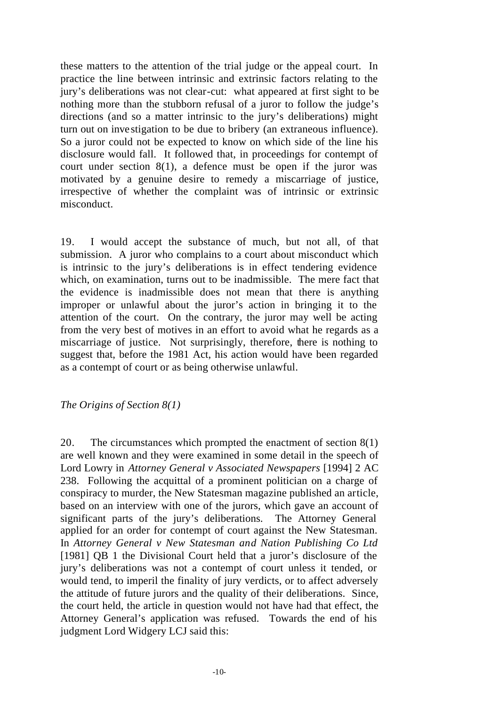these matters to the attention of the trial judge or the appeal court. In practice the line between intrinsic and extrinsic factors relating to the jury's deliberations was not clear-cut: what appeared at first sight to be nothing more than the stubborn refusal of a juror to follow the judge's directions (and so a matter intrinsic to the jury's deliberations) might turn out on inve stigation to be due to bribery (an extraneous influence). So a juror could not be expected to know on which side of the line his disclosure would fall. It followed that, in proceedings for contempt of court under section 8(1), a defence must be open if the juror was motivated by a genuine desire to remedy a miscarriage of justice, irrespective of whether the complaint was of intrinsic or extrinsic misconduct.

19. I would accept the substance of much, but not all, of that submission. A juror who complains to a court about misconduct which is intrinsic to the jury's deliberations is in effect tendering evidence which, on examination, turns out to be inadmissible. The mere fact that the evidence is inadmissible does not mean that there is anything improper or unlawful about the juror's action in bringing it to the attention of the court. On the contrary, the juror may well be acting from the very best of motives in an effort to avoid what he regards as a miscarriage of justice. Not surprisingly, therefore, there is nothing to suggest that, before the 1981 Act, his action would have been regarded as a contempt of court or as being otherwise unlawful.

*The Origins of Section 8(1)*

20. The circumstances which prompted the enactment of section 8(1) are well known and they were examined in some detail in the speech of Lord Lowry in *Attorney General v Associated Newspapers* [1994] 2 AC 238. Following the acquittal of a prominent politician on a charge of conspiracy to murder, the New Statesman magazine published an article, based on an interview with one of the jurors, which gave an account of significant parts of the jury's deliberations. The Attorney General applied for an order for contempt of court against the New Statesman. In *Attorney General v New Statesman and Nation Publishing Co Ltd*  [1981] OB 1 the Divisional Court held that a juror's disclosure of the jury's deliberations was not a contempt of court unless it tended, or would tend, to imperil the finality of jury verdicts, or to affect adversely the attitude of future jurors and the quality of their deliberations. Since, the court held, the article in question would not have had that effect, the Attorney General's application was refused. Towards the end of his judgment Lord Widgery LCJ said this: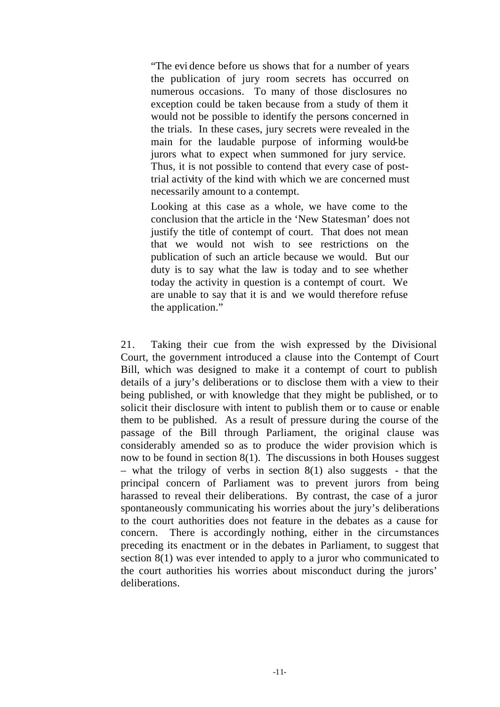"The evi dence before us shows that for a number of years the publication of jury room secrets has occurred on numerous occasions. To many of those disclosures no exception could be taken because from a study of them it would not be possible to identify the persons concerned in the trials. In these cases, jury secrets were revealed in the main for the laudable purpose of informing would-be jurors what to expect when summoned for jury service. Thus, it is not possible to contend that every case of posttrial activity of the kind with which we are concerned must necessarily amount to a contempt.

Looking at this case as a whole, we have come to the conclusion that the article in the 'New Statesman' does not justify the title of contempt of court. That does not mean that we would not wish to see restrictions on the publication of such an article because we would. But our duty is to say what the law is today and to see whether today the activity in question is a contempt of court. We are unable to say that it is and we would therefore refuse the application."

21. Taking their cue from the wish expressed by the Divisional Court, the government introduced a clause into the Contempt of Court Bill, which was designed to make it a contempt of court to publish details of a jury's deliberations or to disclose them with a view to their being published, or with knowledge that they might be published, or to solicit their disclosure with intent to publish them or to cause or enable them to be published. As a result of pressure during the course of the passage of the Bill through Parliament, the original clause was considerably amended so as to produce the wider provision which is now to be found in section 8(1). The discussions in both Houses suggest – what the trilogy of verbs in section  $8(1)$  also suggests - that the principal concern of Parliament was to prevent jurors from being harassed to reveal their deliberations. By contrast, the case of a juror spontaneously communicating his worries about the jury's deliberations to the court authorities does not feature in the debates as a cause for concern. There is accordingly nothing, either in the circumstances preceding its enactment or in the debates in Parliament, to suggest that section 8(1) was ever intended to apply to a juror who communicated to the court authorities his worries about misconduct during the jurors' deliberations.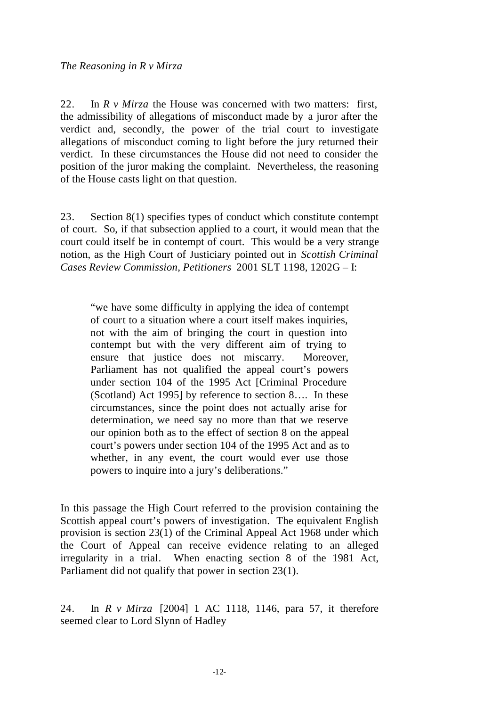22. In *R v Mirza* the House was concerned with two matters: first, the admissibility of allegations of misconduct made by a juror after the verdict and, secondly, the power of the trial court to investigate allegations of misconduct coming to light before the jury returned their verdict. In these circumstances the House did not need to consider the position of the juror making the complaint. Nevertheless, the reasoning of the House casts light on that question.

23. Section 8(1) specifies types of conduct which constitute contempt of court. So, if that subsection applied to a court, it would mean that the court could itself be in contempt of court. This would be a very strange notion, as the High Court of Justiciary pointed out in *Scottish Criminal Cases Review Commission, Petitioners* 2001 SLT 1198, 1202G – I:

"we have some difficulty in applying the idea of contempt of court to a situation where a court itself makes inquiries, not with the aim of bringing the court in question into contempt but with the very different aim of trying to ensure that justice does not miscarry. Moreover, Parliament has not qualified the appeal court's powers under section 104 of the 1995 Act [Criminal Procedure (Scotland) Act 1995] by reference to section 8…. In these circumstances, since the point does not actually arise for determination, we need say no more than that we reserve our opinion both as to the effect of section 8 on the appeal court's powers under section 104 of the 1995 Act and as to whether, in any event, the court would ever use those powers to inquire into a jury's deliberations."

In this passage the High Court referred to the provision containing the Scottish appeal court's powers of investigation. The equivalent English provision is section 23(1) of the Criminal Appeal Act 1968 under which the Court of Appeal can receive evidence relating to an alleged irregularity in a trial. When enacting section 8 of the 1981 Act, Parliament did not qualify that power in section 23(1).

24. In *R v Mirza* [2004] 1 AC 1118, 1146, para 57, it therefore seemed clear to Lord Slynn of Hadley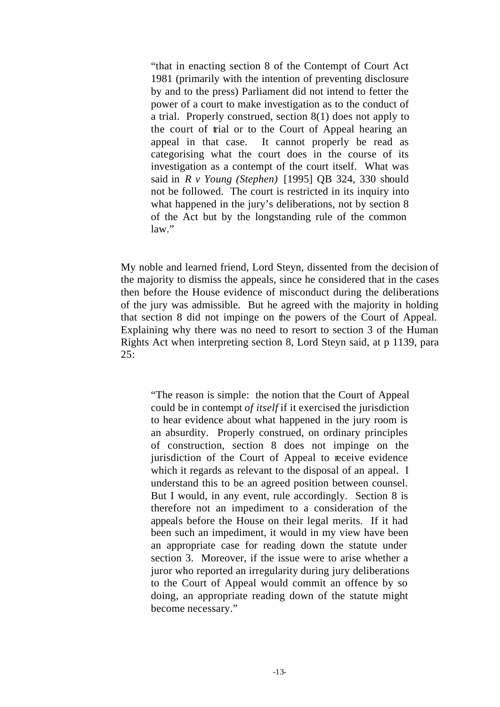"that in enacting section 8 of the Contempt of Court Act 1981 (primarily with the intention of preventing disclosure by and to the press) Parliament did not intend to fetter the power of a court to make investigation as to the conduct of a trial. Properly construed, section 8(1) does not apply to the court of trial or to the Court of Appeal hearing an appeal in that case. It cannot properly be read as categorising what the court does in the course of its investigation as a contempt of the court itself. What was said in *R v Young (Stephen)* [1995] QB 324, 330 should not be followed. The court is restricted in its inquiry into what happened in the jury's deliberations, not by section 8 of the Act but by the longstanding rule of the common law."

My noble and learned friend, Lord Steyn, dissented from the decision of the majority to dismiss the appeals, since he considered that in the cases then before the House evidence of misconduct during the deliberations of the jury was admissible. But he agreed with the majority in holding that section 8 did not impinge on the powers of the Court of Appeal. Explaining why there was no need to resort to section 3 of the Human Rights Act when interpreting section 8, Lord Steyn said, at p 1139, para  $25:$ 

"The reason is simple: the notion that the Court of Appeal could be in contempt *of itself* if it exercised the jurisdiction to hear evidence about what happened in the jury room is an absurdity. Properly construed, on ordinary principles of construction, section 8 does not impinge on the jurisdiction of the Court of Appeal to receive evidence which it regards as relevant to the disposal of an appeal. I understand this to be an agreed position between counsel. But I would, in any event, rule accordingly. Section 8 is therefore not an impediment to a consideration of the appeals before the House on their legal merits. If it had been such an impediment, it would in my view have been an appropriate case for reading down the statute under section 3. Moreover, if the issue were to arise whether a juror who reported an irregularity during jury deliberations to the Court of Appeal would commit an offence by so doing, an appropriate reading down of the statute might become necessary."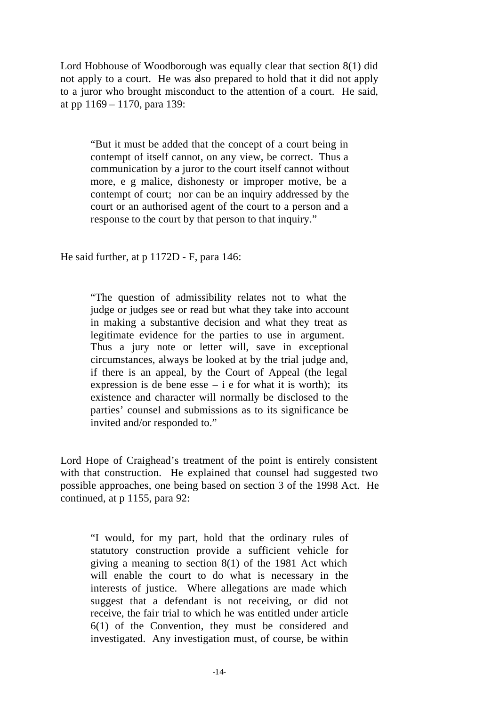Lord Hobhouse of Woodborough was equally clear that section 8(1) did not apply to a court. He was also prepared to hold that it did not apply to a juror who brought misconduct to the attention of a court. He said, at pp 1169 – 1170, para 139:

"But it must be added that the concept of a court being in contempt of itself cannot, on any view, be correct. Thus a communication by a juror to the court itself cannot without more, e g malice, dishonesty or improper motive, be a contempt of court; nor can be an inquiry addressed by the court or an authorised agent of the court to a person and a response to the court by that person to that inquiry."

He said further, at p 1172D - F, para 146:

"The question of admissibility relates not to what the judge or judges see or read but what they take into account in making a substantive decision and what they treat as legitimate evidence for the parties to use in argument. Thus a jury note or letter will, save in exceptional circumstances, always be looked at by the trial judge and, if there is an appeal, by the Court of Appeal (the legal expression is de bene esse  $- i e$  for what it is worth); its existence and character will normally be disclosed to the parties' counsel and submissions as to its significance be invited and/or responded to."

Lord Hope of Craighead's treatment of the point is entirely consistent with that construction. He explained that counsel had suggested two possible approaches, one being based on section 3 of the 1998 Act. He continued, at p 1155, para 92:

"I would, for my part, hold that the ordinary rules of statutory construction provide a sufficient vehicle for giving a meaning to section 8(1) of the 1981 Act which will enable the court to do what is necessary in the interests of justice. Where allegations are made which suggest that a defendant is not receiving, or did not receive, the fair trial to which he was entitled under article 6(1) of the Convention, they must be considered and investigated. Any investigation must, of course, be within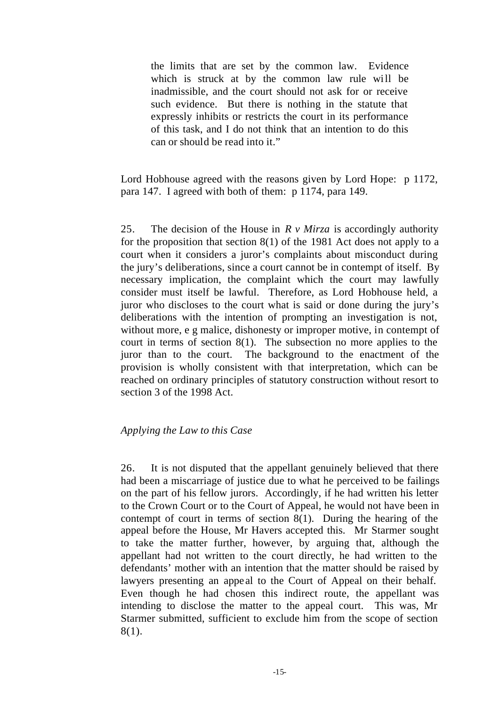the limits that are set by the common law. Evidence which is struck at by the common law rule will be inadmissible, and the court should not ask for or receive such evidence. But there is nothing in the statute that expressly inhibits or restricts the court in its performance of this task, and I do not think that an intention to do this can or should be read into it."

Lord Hobhouse agreed with the reasons given by Lord Hope: p 1172, para 147. I agreed with both of them: p 1174, para 149.

25. The decision of the House in *R v Mirza* is accordingly authority for the proposition that section 8(1) of the 1981 Act does not apply to a court when it considers a juror's complaints about misconduct during the jury's deliberations, since a court cannot be in contempt of itself. By necessary implication, the complaint which the court may lawfully consider must itself be lawful. Therefore, as Lord Hobhouse held, a juror who discloses to the court what is said or done during the jury's deliberations with the intention of prompting an investigation is not, without more, e g malice, dishonesty or improper motive, in contempt of court in terms of section 8(1). The subsection no more applies to the juror than to the court. The background to the enactment of the provision is wholly consistent with that interpretation, which can be reached on ordinary principles of statutory construction without resort to section 3 of the 1998 Act.

#### *Applying the Law to this Case*

26. It is not disputed that the appellant genuinely believed that there had been a miscarriage of justice due to what he perceived to be failings on the part of his fellow jurors. Accordingly, if he had written his letter to the Crown Court or to the Court of Appeal, he would not have been in contempt of court in terms of section 8(1). During the hearing of the appeal before the House, Mr Havers accepted this. Mr Starmer sought to take the matter further, however, by arguing that, although the appellant had not written to the court directly, he had written to the defendants' mother with an intention that the matter should be raised by lawyers presenting an appeal to the Court of Appeal on their behalf. Even though he had chosen this indirect route, the appellant was intending to disclose the matter to the appeal court. This was, Mr Starmer submitted, sufficient to exclude him from the scope of section 8(1).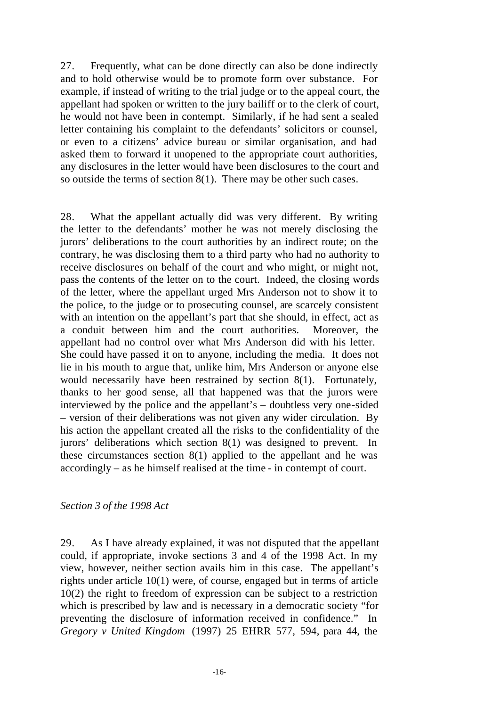27. Frequently, what can be done directly can also be done indirectly and to hold otherwise would be to promote form over substance. For example, if instead of writing to the trial judge or to the appeal court, the appellant had spoken or written to the jury bailiff or to the clerk of court, he would not have been in contempt. Similarly, if he had sent a sealed letter containing his complaint to the defendants' solicitors or counsel, or even to a citizens' advice bureau or similar organisation, and had asked them to forward it unopened to the appropriate court authorities, any disclosures in the letter would have been disclosures to the court and so outside the terms of section 8(1). There may be other such cases.

28. What the appellant actually did was very different. By writing the letter to the defendants' mother he was not merely disclosing the jurors' deliberations to the court authorities by an indirect route; on the contrary, he was disclosing them to a third party who had no authority to receive disclosures on behalf of the court and who might, or might not, pass the contents of the letter on to the court. Indeed, the closing words of the letter, where the appellant urged Mrs Anderson not to show it to the police, to the judge or to prosecuting counsel, are scarcely consistent with an intention on the appellant's part that she should, in effect, act as a conduit between him and the court authorities. Moreover, the appellant had no control over what Mrs Anderson did with his letter. She could have passed it on to anyone, including the media. It does not lie in his mouth to argue that, unlike him, Mrs Anderson or anyone else would necessarily have been restrained by section 8(1). Fortunately, thanks to her good sense, all that happened was that the jurors were interviewed by the police and the appellant's – doubtless very one-sided – version of their deliberations was not given any wider circulation. By his action the appellant created all the risks to the confidentiality of the jurors' deliberations which section 8(1) was designed to prevent. In these circumstances section 8(1) applied to the appellant and he was accordingly – as he himself realised at the time - in contempt of court.

#### *Section 3 of the 1998 Act*

29. As I have already explained, it was not disputed that the appellant could, if appropriate, invoke sections 3 and 4 of the 1998 Act. In my view, however, neither section avails him in this case. The appellant's rights under article 10(1) were, of course, engaged but in terms of article 10(2) the right to freedom of expression can be subject to a restriction which is prescribed by law and is necessary in a democratic society "for preventing the disclosure of information received in confidence." In *Gregory v United Kingdom* (1997) 25 EHRR 577, 594, para 44, the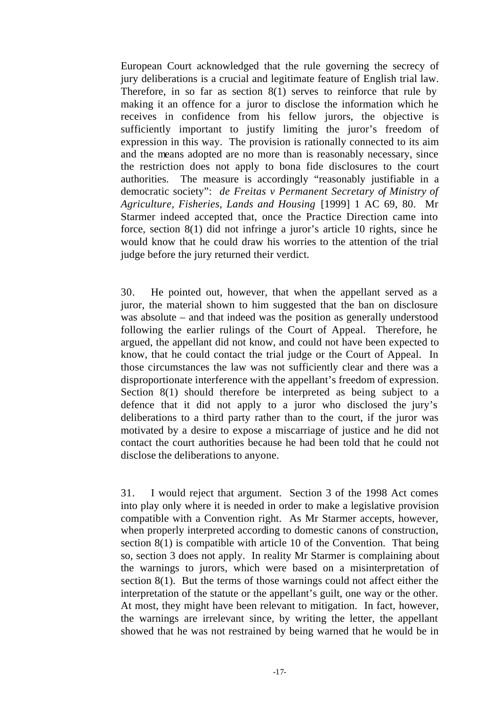European Court acknowledged that the rule governing the secrecy of jury deliberations is a crucial and legitimate feature of English trial law. Therefore, in so far as section 8(1) serves to reinforce that rule by making it an offence for a juror to disclose the information which he receives in confidence from his fellow jurors, the objective is sufficiently important to justify limiting the juror's freedom of expression in this way. The provision is rationally connected to its aim and the means adopted are no more than is reasonably necessary, since the restriction does not apply to bona fide disclosures to the court authorities. The measure is accordingly "reasonably justifiable in a democratic society": *de Freitas v Permanent Secretary of Ministry of Agriculture, Fisheries, Lands and Housing* [1999] 1 AC 69, 80. Mr Starmer indeed accepted that, once the Practice Direction came into force, section 8(1) did not infringe a juror's article 10 rights, since he would know that he could draw his worries to the attention of the trial judge before the jury returned their verdict.

30. He pointed out, however, that when the appellant served as a juror, the material shown to him suggested that the ban on disclosure was absolute – and that indeed was the position as generally understood following the earlier rulings of the Court of Appeal. Therefore, he argued, the appellant did not know, and could not have been expected to know, that he could contact the trial judge or the Court of Appeal. In those circumstances the law was not sufficiently clear and there was a disproportionate interference with the appellant's freedom of expression. Section 8(1) should therefore be interpreted as being subject to a defence that it did not apply to a juror who disclosed the jury's deliberations to a third party rather than to the court, if the juror was motivated by a desire to expose a miscarriage of justice and he did not contact the court authorities because he had been told that he could not disclose the deliberations to anyone.

31. I would reject that argument. Section 3 of the 1998 Act comes into play only where it is needed in order to make a legislative provision compatible with a Convention right. As Mr Starmer accepts, however, when properly interpreted according to domestic canons of construction, section 8(1) is compatible with article 10 of the Convention. That being so, section 3 does not apply. In reality Mr Starmer is complaining about the warnings to jurors, which were based on a misinterpretation of section 8(1). But the terms of those warnings could not affect either the interpretation of the statute or the appellant's guilt, one way or the other. At most, they might have been relevant to mitigation. In fact, however, the warnings are irrelevant since, by writing the letter, the appellant showed that he was not restrained by being warned that he would be in